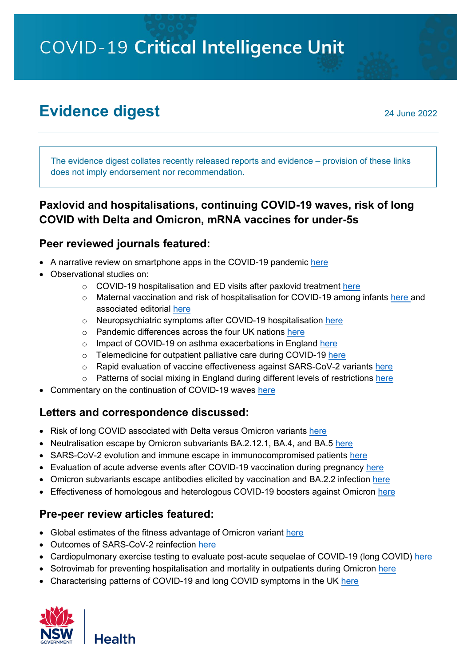COVID-19 Critical Intelligence Unit

# **Evidence digest** 24 June 2022

The evidence digest collates recently released reports and evidence – provision of these links does not imply endorsement nor recommendation.

## **Paxlovid and hospitalisations, continuing COVID-19 waves, risk of long COVID with Delta and Omicron, mRNA vaccines for under-5s**

#### **Peer reviewed journals featured:**

- A narrative review on smartphone apps in the COVID-19 pandemic [here](https://www.nature.com/articles/s41587-022-01350-x)
- Observational studies on:
	- o COVID-19 hospitalisation and ED visits after paxlovid treatment [here](http://dx.doi.org/10.15585/mmwr.mm7125e2)
	- o Maternal vaccination and risk of hospitalisation for COVID-19 among infants [here](https://www.nejm.org/doi/full/10.1056/NEJMoa2204399) and associated editorial [here](https://www.nejm.org/doi/full/10.1056/NEJMe2206730?query=recirc_curatedRelated_article)
	- o Neuropsychiatric symptoms after COVID-19 hospitalisation [here](https://www.nature.com/articles/s41380-022-01646-z)
	- o Pandemic differences across the four UK nations [here](https://www.bmj.com/content/377/bmj.o1482)
	- o Impact of COVID-19 on asthma exacerbations in England [here](https://www.thelancet.com/journals/lanepe/article/PIIS2666-7762(22)00122-3/fulltext)
	- o Telemedicine for outpatient palliative care during COVID-19 [here](https://spcare.bmj.com/content/early/2022/06/15/bmjspcare-2022-003585)
	- o Rapid evaluation of vaccine effectiveness against SARS-CoV-2 variants [here](https://www.nature.com/articles/s41591-022-01877-1)
	- $\circ$  Patterns of social mixing in England during different levels of restrictions [here](https://www.nature.com/articles/s41598-022-14431-3)
- Commentary on the continuation of COVID-19 waves [here](https://www.bmj.com/content/377/bmj.o1504)

#### **Letters and correspondence discussed:**

- Risk of long COVID associated with Delta versus Omicron variants [here](https://www.thelancet.com/journals/lancet/article/PIIS0140-6736(22)00941-2/fulltext#%20)
- Neutralisation escape by Omicron subvariants BA.2.12.1, BA.4, and BA.5 [here](https://www.nejm.org/doi/full/10.1056/NEJMc2206576)
- SARS-CoV-2 evolution and immune escape in immunocompromised patients [here](https://www.nejm.org/doi/full/10.1056/NEJMc2202861)
- Evaluation of acute adverse events after COVID-19 vaccination during pregnancy [here](https://www.nejm.org/doi/full/10.1056/NEJMc2205276)
- Omicron subvariants escape antibodies elicited by vaccination and BA.2.2 infection [here](https://www.thelancet.com/journals/laninf/article/PIIS1473-3099(22)00410-8/fulltext#%20)
- Effectiveness of homologous and heterologous COVID-19 boosters against Omicron [here](https://www.nejm.org/doi/full/10.1056/NEJMc2203165)

#### **Pre-peer review articles featured:**

- Global estimates of the fitness advantage of Omicron variant [here](https://www.medrxiv.org/content/10.1101/2022.06.15.22276436v1)
- Outcomes of SARS-CoV-2 reinfection [here](https://www.researchsquare.com/article/rs-1749502/v1)
- Cardiopulmonary exercise testing to evaluate post-acute sequelae of COVID-19 (long COVID) [here](https://www.medrxiv.org/content/10.1101/2022.06.15.22276458v1)
- Sotrovimab for preventing hospitalisation and mortality in outpatients during Omicron [here](https://www.medrxiv.org/content/10.1101/2022.06.17.22276575v1)
- Characterising patterns of COVID-19 and long COVID symptoms in the UK [here](https://www.medrxiv.org/content/10.1101/2022.06.20.22275994v1)